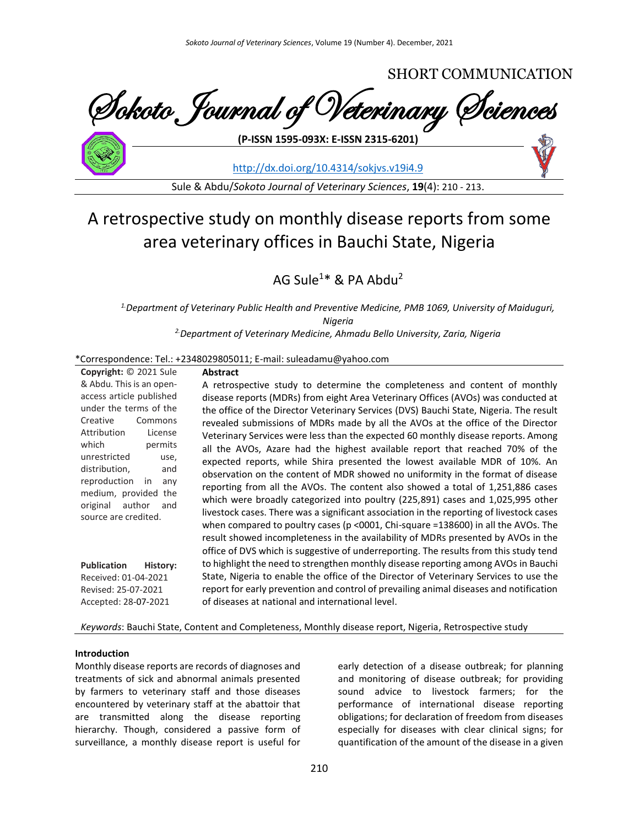SHORT COMMUNICATION Sokoto Journal of Veterinary Sciences **(P-ISSN 1595-093X: E-ISSN 2315-6201)**

<http://dx.doi.org/10.4314/sokjvs.v19i4.9>

Sule & Abdu/*Sokoto Journal of Veterinary Sciences*, **19**(4): 210 - 213.

# A retrospective study on monthly disease reports from some area veterinary offices in Bauchi State, Nigeria

# AG Sule<sup>1\*</sup> & PA Abdu<sup>2</sup>

*1.Department of Veterinary Public Health and Preventive Medicine, PMB 1069, University of Maiduguri, Nigeria 2.Department of Veterinary Medicine, Ahmadu Bello University, Zaria, Nigeria*

# \*Correspondence: Tel.: +2348029805011; E-mail: suleadamu@yahoo.com

| Copyright: © 2021 Sule                                                                                                                                                                                                                                                                                        | Abstract                                                                                                                                                                                                                                                                                                                                                                                                                                                                                                                                                                                                                                                                                                                                                                                                                                                                                                                                                                                                                                                                                                                                                                                                                    |
|---------------------------------------------------------------------------------------------------------------------------------------------------------------------------------------------------------------------------------------------------------------------------------------------------------------|-----------------------------------------------------------------------------------------------------------------------------------------------------------------------------------------------------------------------------------------------------------------------------------------------------------------------------------------------------------------------------------------------------------------------------------------------------------------------------------------------------------------------------------------------------------------------------------------------------------------------------------------------------------------------------------------------------------------------------------------------------------------------------------------------------------------------------------------------------------------------------------------------------------------------------------------------------------------------------------------------------------------------------------------------------------------------------------------------------------------------------------------------------------------------------------------------------------------------------|
| & Abdu. This is an open-<br>access article published<br>under the terms of the<br>Commons<br>Creative<br>Attribution<br>License<br>which<br>permits<br>unrestricted<br>use,<br>distribution,<br>and<br>reproduction<br>in<br>any<br>medium, provided the<br>original<br>author<br>and<br>source are credited. | A retrospective study to determine the completeness and content of monthly<br>disease reports (MDRs) from eight Area Veterinary Offices (AVOs) was conducted at<br>the office of the Director Veterinary Services (DVS) Bauchi State, Nigeria. The result<br>revealed submissions of MDRs made by all the AVOs at the office of the Director<br>Veterinary Services were less than the expected 60 monthly disease reports. Among<br>all the AVOs, Azare had the highest available report that reached 70% of the<br>expected reports, while Shira presented the lowest available MDR of 10%. An<br>observation on the content of MDR showed no uniformity in the format of disease<br>reporting from all the AVOs. The content also showed a total of 1,251,886 cases<br>which were broadly categorized into poultry (225,891) cases and 1,025,995 other<br>livestock cases. There was a significant association in the reporting of livestock cases<br>when compared to poultry cases ( $p$ <0001, Chi-square =138600) in all the AVOs. The<br>result showed incompleteness in the availability of MDRs presented by AVOs in the<br>office of DVS which is suggestive of underreporting. The results from this study tend |
| <b>Publication</b><br><b>History:</b><br>Received: 01-04-2021<br>Revised: 25-07-2021<br>Accepted: 28-07-2021                                                                                                                                                                                                  | to highlight the need to strengthen monthly disease reporting among AVOs in Bauchi<br>State, Nigeria to enable the office of the Director of Veterinary Services to use the<br>report for early prevention and control of prevailing animal diseases and notification<br>of diseases at national and international level.                                                                                                                                                                                                                                                                                                                                                                                                                                                                                                                                                                                                                                                                                                                                                                                                                                                                                                   |

*Keywords*: Bauchi State, Content and Completeness, Monthly disease report, Nigeria, Retrospective study

# **Introduction**

Monthly disease reports are records of diagnoses and treatments of sick and abnormal animals presented by farmers to veterinary staff and those diseases encountered by veterinary staff at the abattoir that are transmitted along the disease reporting hierarchy. Though, considered a passive form of surveillance, a monthly disease report is useful for early detection of a disease outbreak; for planning and monitoring of disease outbreak; for providing sound advice to livestock farmers; for the performance of international disease reporting obligations; for declaration of freedom from diseases especially for diseases with clear clinical signs; for quantification of the amount of the disease in a given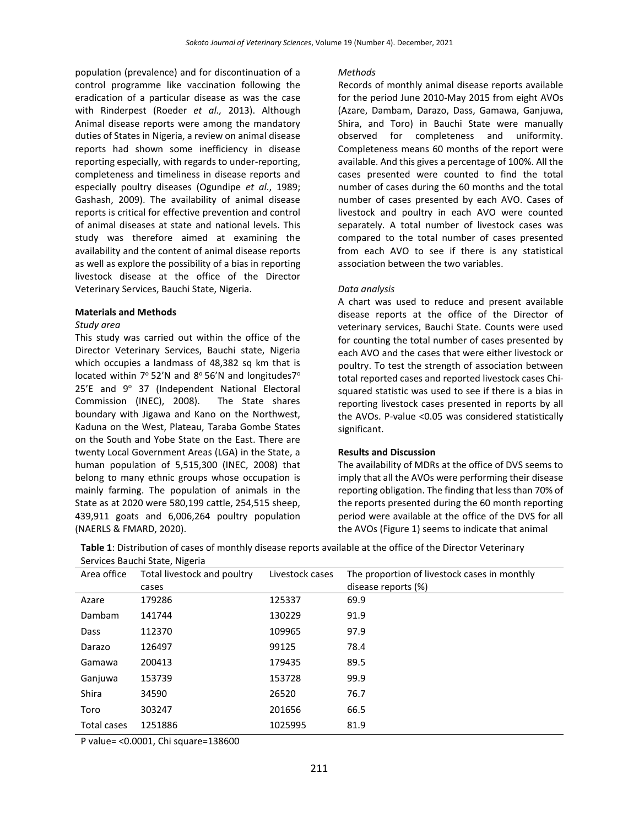population (prevalence) and for discontinuation of a control programme like vaccination following the eradication of a particular disease as was the case with Rinderpest (Roeder *et al.,* 2013). Although Animal disease reports were among the mandatory duties of States in Nigeria, a review on animal disease reports had shown some inefficiency in disease reporting especially, with regards to under-reporting, completeness and timeliness in disease reports and especially poultry diseases (Ogundipe *et al*., 1989; Gashash, 2009). The availability of animal disease reports is critical for effective prevention and control of animal diseases at state and national levels. This study was therefore aimed at examining the availability and the content of animal disease reports as well as explore the possibility of a bias in reporting livestock disease at the office of the Director Veterinary Services, Bauchi State, Nigeria.

#### **Materials and Methods**

#### *Study area*

This study was carried out within the office of the Director Veterinary Services, Bauchi state, Nigeria which occupies a landmass of 48,382 sq km that is located within  $7^{\circ}$  52'N and  $8^{\circ}$  56'N and longitudes7 $^{\circ}$ 25'E and  $9^{\circ}$  37 (Independent National Electoral Commission (INEC), 2008). The State shares boundary with Jigawa and Kano on the Northwest, Kaduna on the West, Plateau, Taraba Gombe States on the South and Yobe State on the East. There are twenty Local Government Areas (LGA) in the State, a human population of 5,515,300 (INEC, 2008) that belong to many ethnic groups whose occupation is mainly farming. The population of animals in the State as at 2020 were 580,199 cattle, 254,515 sheep, 439,911 goats and 6,006,264 poultry population (NAERLS & FMARD, 2020).

#### *Methods*

Records of monthly animal disease reports available for the period June 2010-May 2015 from eight AVOs (Azare, Dambam, Darazo, Dass, Gamawa, Ganjuwa, Shira, and Toro) in Bauchi State were manually observed for completeness and uniformity. Completeness means 60 months of the report were available. And this gives a percentage of 100%. All the cases presented were counted to find the total number of cases during the 60 months and the total number of cases presented by each AVO. Cases of livestock and poultry in each AVO were counted separately. A total number of livestock cases was compared to the total number of cases presented from each AVO to see if there is any statistical association between the two variables.

#### *Data analysis*

A chart was used to reduce and present available disease reports at the office of the Director of veterinary services, Bauchi State. Counts were used for counting the total number of cases presented by each AVO and the cases that were either livestock or poultry. To test the strength of association between total reported cases and reported livestock cases Chisquared statistic was used to see if there is a bias in reporting livestock cases presented in reports by all the AVOs. P-value <0.05 was considered statistically significant.

#### **Results and Discussion**

The availability of MDRs at the office of DVS seems to imply that all the AVOs were performing their disease reporting obligation. The finding that less than 70% of the reports presented during the 60 month reporting period were available at the office of the DVS for all the AVOs (Figure 1) seems to indicate that animal

| Area office | Total livestock and poultry | Livestock cases | The proportion of livestock cases in monthly |
|-------------|-----------------------------|-----------------|----------------------------------------------|
|             | cases                       |                 | disease reports (%)                          |
| Azare       | 179286                      | 125337          | 69.9                                         |
| Dambam      | 141744                      | 130229          | 91.9                                         |
| Dass        | 112370                      | 109965          | 97.9                                         |
| Darazo      | 126497                      | 99125           | 78.4                                         |
| Gamawa      | 200413                      | 179435          | 89.5                                         |
| Ganjuwa     | 153739                      | 153728          | 99.9                                         |
| Shira       | 34590                       | 26520           | 76.7                                         |
| Toro        | 303247                      | 201656          | 66.5                                         |
| Total cases | 1251886                     | 1025995         | 81.9                                         |

**Table 1**: Distribution of cases of monthly disease reports available at the office of the Director Veterinary Services Bauchi State, Nigeria

P value= <0.0001, Chi square=138600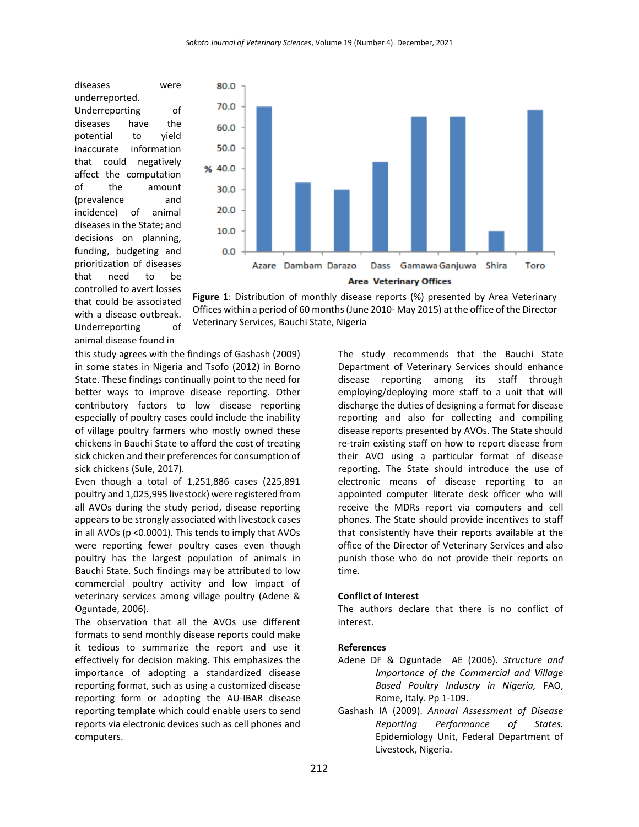diseases were underreported. Underreporting of diseases have the potential to yield inaccurate information that could negatively affect the computation of the amount (prevalence and incidence) of animal diseases in the State; and decisions on planning, funding, budgeting and prioritization of diseases that need to be controlled to avert losses that could be associated with a disease outbreak. Underreporting of animal disease found in



**Figure 1**: Distribution of monthly disease reports (%) presented by Area Veterinary Offices within a period of 60 months (June 2010- May 2015) at the office of the Director Veterinary Services, Bauchi State, Nigeria

this study agrees with the findings of Gashash (2009) in some states in Nigeria and Tsofo (2012) in Borno State. These findings continually point to the need for better ways to improve disease reporting. Other contributory factors to low disease reporting especially of poultry cases could include the inability of village poultry farmers who mostly owned these chickens in Bauchi State to afford the cost of treating sick chicken and their preferences for consumption of sick chickens (Sule, 2017).

Even though a total of 1,251,886 cases (225,891 poultry and 1,025,995 livestock) were registered from all AVOs during the study period, disease reporting appears to be strongly associated with livestock cases in all AVOs (p <0.0001). This tends to imply that AVOs were reporting fewer poultry cases even though poultry has the largest population of animals in Bauchi State. Such findings may be attributed to low commercial poultry activity and low impact of veterinary services among village poultry (Adene & Oguntade, 2006).

The observation that all the AVOs use different formats to send monthly disease reports could make it tedious to summarize the report and use it effectively for decision making. This emphasizes the importance of adopting a standardized disease reporting format, such as using a customized disease reporting form or adopting the AU-IBAR disease reporting template which could enable users to send reports via electronic devices such as cell phones and computers.

The study recommends that the Bauchi State Department of Veterinary Services should enhance disease reporting among its staff through employing/deploying more staff to a unit that will discharge the duties of designing a format for disease reporting and also for collecting and compiling disease reports presented by AVOs. The State should re-train existing staff on how to report disease from their AVO using a particular format of disease reporting. The State should introduce the use of electronic means of disease reporting to an appointed computer literate desk officer who will receive the MDRs report via computers and cell phones. The State should provide incentives to staff that consistently have their reports available at the office of the Director of Veterinary Services and also punish those who do not provide their reports on time.

## **Conflict of Interest**

The authors declare that there is no conflict of interest.

#### **References**

- Adene DF & Oguntade AE (2006). *Structure and Importance of the Commercial and Village Based Poultry Industry in Nigeria,* FAO, Rome, Italy. Pp 1-109.
- Gashash IA (2009). *Annual Assessment of Disease Reporting Performance of States.*  Epidemiology Unit, Federal Department of Livestock, Nigeria.